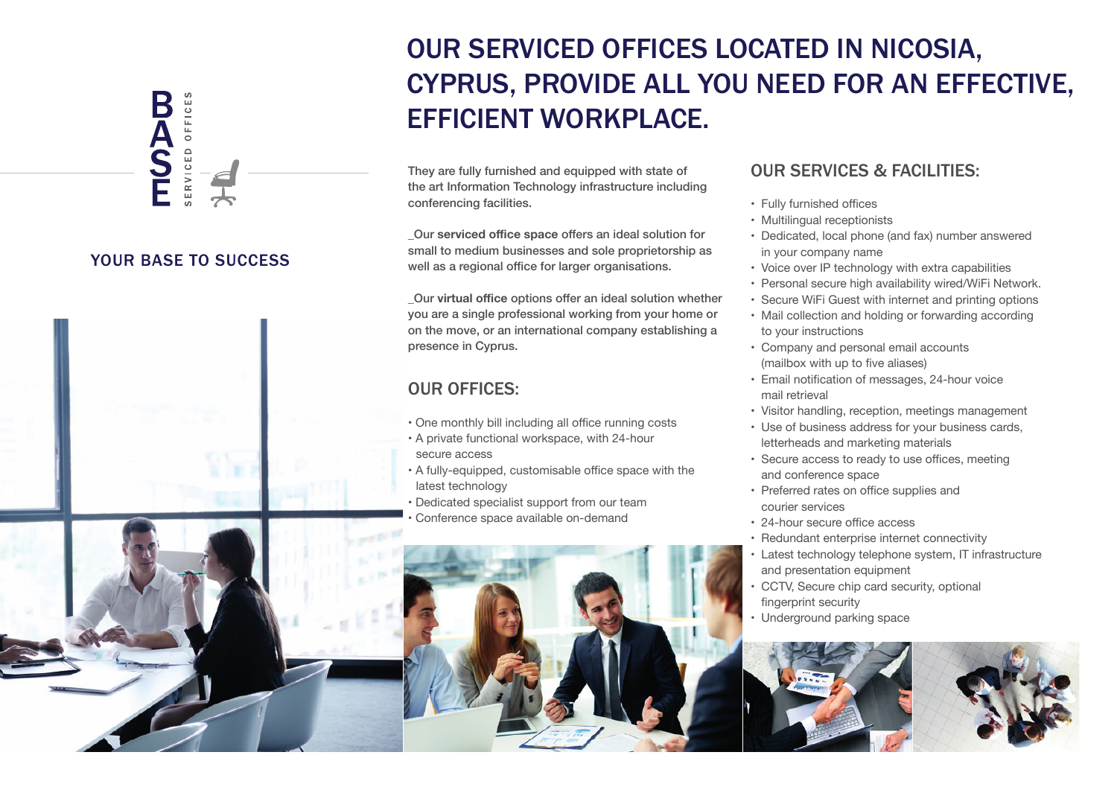#### YOUR BASE TO SUCCESS

ERVICED OFFICES

**BASH** 



# They are fully furnished and equipped with state of CYPRUS, PROVIDE ALL YOU NEED FOR AN EFFECTIVE, EFFICIENT WORKPLACE.

OUR SERVICED OFFICES LOCATED IN NICOSIA,

the art Information Technology infrastructure including conferencing facilities.

\_Our **serviced office space** offers an ideal solution for small to medium businesses and sole proprietorship as well as a regional office for larger organisations.

\_Our **virtual office** options offer an ideal solution whether you are a single professional working from your home or on the move, or an international company establishing a presence in Cyprus.

### OUR OFFICES:

- One monthly bill including all office running costs
- A private functional workspace, with 24-hour secure access
- A fully-equipped, customisable office space with the latest technology

• Dedicated specialist support from our team Conference space available on-demand



#### OUR SERVICES & FACILITIES:

- Fully furnished offices
- Multilingual receptionists
- Dedicated, local phone (and fax) number answered in your company name
- Voice over IP technology with extra capabilities
- Personal secure high availability wired/WiFi Network.
- Secure WiFi Guest with internet and printing options
- Mail collection and holding or forwarding according to your instructions
- Company and personal email accounts (mailbox with up to five aliases)
- Email notification of messages, 24-hour voice mail retrieval
- Visitor handling, reception, meetings management
- Use of business address for your business cards, letterheads and marketing materials
- Secure access to ready to use offices, meeting and conference space
- Preferred rates on office supplies and courier services
- 24-hour secure office access
- Redundant enterprise internet connectivity
- Latest technology telephone system, IT infrastructure and presentation equipment
- CCTV, Secure chip card security, optional fingerprint security
- Underground parking space